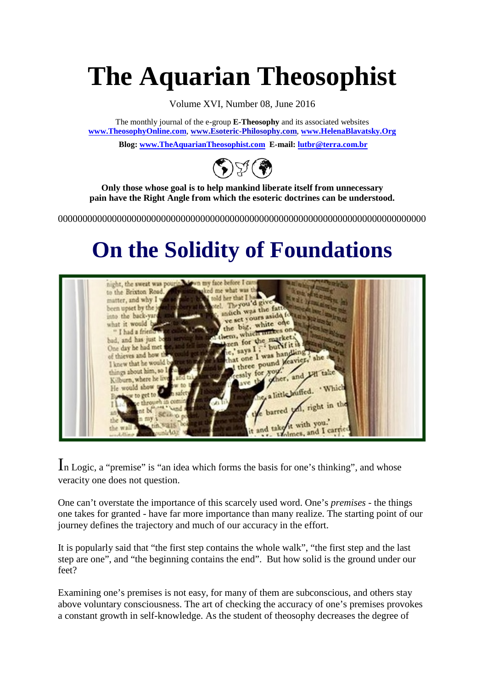# **The Aquarian Theosophist**

Volume XVI, Number 08, June 2016

The monthly journal of the e-group **E-Theosophy** and its associated websites **[www.TheosophyOnline.com](http://www.theosophyonline.com/)**, **www.Esoteric-Philosophy.com**, **[www.HelenaBlavatsky.Org](http://www.helenablavatsky.org/)**

**Blog[: www.TheAquarianTheosophist.com](http://www.theaquariantheosophist.com/) E-mail: [lutbr@terra.com.br](mailto:lutbr@terra.com.br)**



**Only those whose goal is to help mankind liberate itself from unnecessary pain have the Right Angle from which the esoteric doctrines can be understood.**

000000000000000000000000000000000000000000000000000000000000000000000000000

## **On the Solidity of Foundations**



In Logic, a "premise" is "an idea which forms the basis for one's thinking", and whose veracity one does not question.

One can't overstate the importance of this scarcely used word. One's *premises* - the things one takes for granted - have far more importance than many realize. The starting point of our journey defines the trajectory and much of our accuracy in the effort.

It is popularly said that "the first step contains the whole walk", "the first step and the last step are one", and "the beginning contains the end". But how solid is the ground under our feet?

Examining one's premises is not easy, for many of them are subconscious, and others stay above voluntary consciousness. The art of checking the accuracy of one's premises provokes a constant growth in self-knowledge. As the student of theosophy decreases the degree of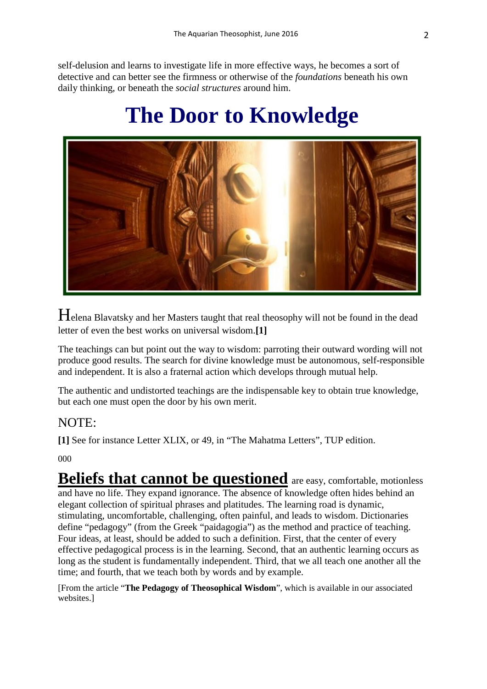self-delusion and learns to investigate life in more effective ways, he becomes a sort of detective and can better see the firmness or otherwise of the *foundations* beneath his own daily thinking, or beneath the *social structures* around him.

### **The Door to Knowledge**



Helena Blavatsky and her Masters taught that real theosophy will not be found in the dead letter of even the best works on universal wisdom.**[1]** 

The teachings can but point out the way to wisdom: parroting their outward wording will not produce good results. The search for divine knowledge must be autonomous, self-responsible and independent. It is also a fraternal action which develops through mutual help.

The authentic and undistorted teachings are the indispensable key to obtain true knowledge, but each one must open the door by his own merit.

#### NOTE:

**[1]** See for instance Letter XLIX, or 49, in "The Mahatma Letters", TUP edition.

000

**Beliefs that cannot be questioned** are easy, comfortable, motionless and have no life. They expand ignorance. The absence of knowledge often hides behind an elegant collection of spiritual phrases and platitudes. The learning road is dynamic, stimulating, uncomfortable, challenging, often painful, and leads to wisdom. Dictionaries define "pedagogy" (from the Greek "paidagogia") as the method and practice of teaching. Four ideas, at least, should be added to such a definition. First, that the center of every effective pedagogical process is in the learning. Second, that an authentic learning occurs as long as the student is fundamentally independent. Third, that we all teach one another all the time; and fourth, that we teach both by words and by example.

[From the article "**The Pedagogy of Theosophical Wisdom**", which is available in our associated websites.]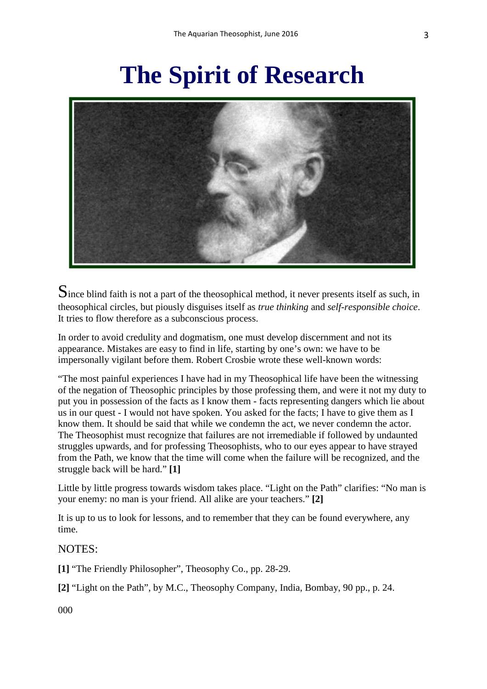# **The Spirit of Research**



Since blind faith is not a part of the theosophical method, it never presents itself as such, in theosophical circles, but piously disguises itself as *true thinking* and *self-responsible choice*. It tries to flow therefore as a subconscious process.

In order to avoid credulity and dogmatism, one must develop discernment and not its appearance. Mistakes are easy to find in life, starting by one's own: we have to be impersonally vigilant before them. Robert Crosbie wrote these well-known words:

"The most painful experiences I have had in my Theosophical life have been the witnessing of the negation of Theosophic principles by those professing them, and were it not my duty to put you in possession of the facts as I know them - facts representing dangers which lie about us in our quest - I would not have spoken. You asked for the facts; I have to give them as I know them. It should be said that while we condemn the act, we never condemn the actor. The Theosophist must recognize that failures are not irremediable if followed by undaunted struggles upwards, and for professing Theosophists, who to our eyes appear to have strayed from the Path, we know that the time will come when the failure will be recognized, and the struggle back will be hard." **[1]**

Little by little progress towards wisdom takes place. "Light on the Path" clarifies: "No man is your enemy: no man is your friend. All alike are your teachers." **[2]**

It is up to us to look for lessons, and to remember that they can be found everywhere, any time.

#### NOTES:

**[1]** "The Friendly Philosopher", Theosophy Co., pp. 28-29.

**[2]** "Light on the Path", by M.C., Theosophy Company, India, Bombay, 90 pp., p. 24.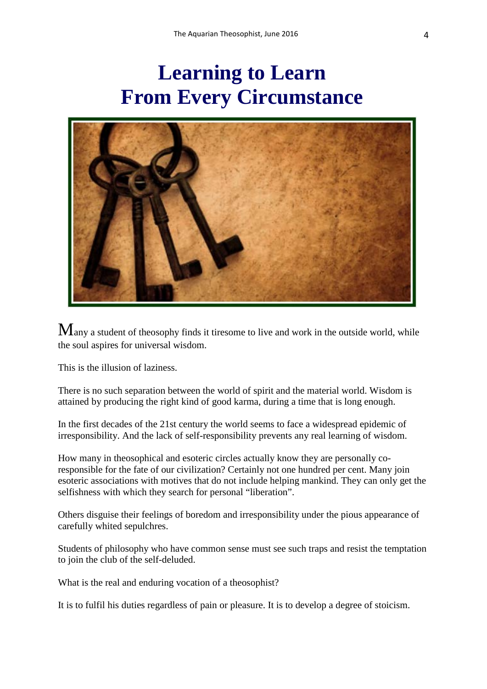### **Learning to Learn From Every Circumstance**



Many a student of theosophy finds it tiresome to live and work in the outside world, while the soul aspires for universal wisdom.

This is the illusion of laziness.

There is no such separation between the world of spirit and the material world. Wisdom is attained by producing the right kind of good karma, during a time that is long enough.

In the first decades of the 21st century the world seems to face a widespread epidemic of irresponsibility. And the lack of self-responsibility prevents any real learning of wisdom.

How many in theosophical and esoteric circles actually know they are personally coresponsible for the fate of our civilization? Certainly not one hundred per cent. Many join esoteric associations with motives that do not include helping mankind. They can only get the selfishness with which they search for personal "liberation".

Others disguise their feelings of boredom and irresponsibility under the pious appearance of carefully whited sepulchres.

Students of philosophy who have common sense must see such traps and resist the temptation to join the club of the self-deluded.

What is the real and enduring vocation of a theosophist?

It is to fulfil his duties regardless of pain or pleasure. It is to develop a degree of stoicism.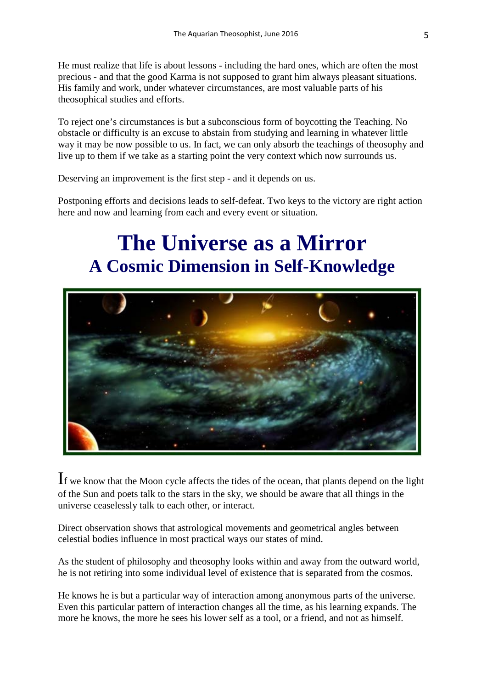He must realize that life is about lessons - including the hard ones, which are often the most precious - and that the good Karma is not supposed to grant him always pleasant situations. His family and work, under whatever circumstances, are most valuable parts of his theosophical studies and efforts.

To reject one's circumstances is but a subconscious form of boycotting the Teaching. No obstacle or difficulty is an excuse to abstain from studying and learning in whatever little way it may be now possible to us. In fact, we can only absorb the teachings of theosophy and live up to them if we take as a starting point the very context which now surrounds us.

Deserving an improvement is the first step - and it depends on us.

Postponing efforts and decisions leads to self-defeat. Two keys to the victory are right action here and now and learning from each and every event or situation.

### **The Universe as a Mirror A Cosmic Dimension in Self-Knowledge**



If we know that the Moon cycle affects the tides of the ocean, that plants depend on the light of the Sun and poets talk to the stars in the sky, we should be aware that all things in the universe ceaselessly talk to each other, or interact.

Direct observation shows that astrological movements and geometrical angles between celestial bodies influence in most practical ways our states of mind.

As the student of philosophy and theosophy looks within and away from the outward world, he is not retiring into some individual level of existence that is separated from the cosmos.

He knows he is but a particular way of interaction among anonymous parts of the universe. Even this particular pattern of interaction changes all the time, as his learning expands. The more he knows, the more he sees his lower self as a tool, or a friend, and not as himself.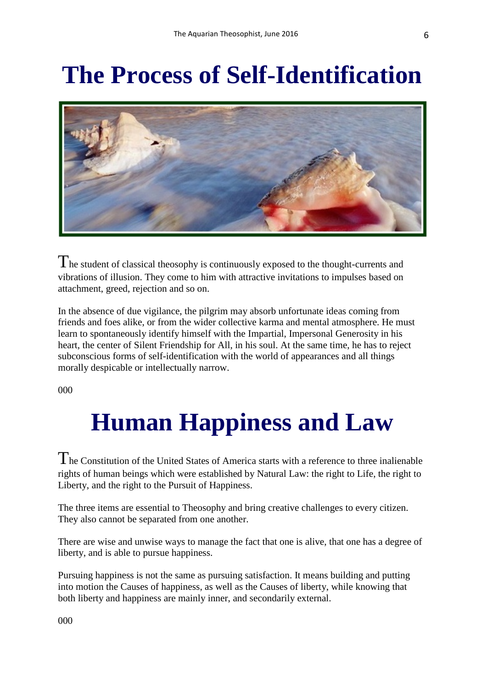# **The Process of Self-Identification**



 $\Gamma$  he student of classical theosophy is continuously exposed to the thought-currents and vibrations of illusion. They come to him with attractive invitations to impulses based on attachment, greed, rejection and so on.

In the absence of due vigilance, the pilgrim may absorb unfortunate ideas coming from friends and foes alike, or from the wider collective karma and mental atmosphere. He must learn to spontaneously identify himself with the Impartial, Impersonal Generosity in his heart, the center of Silent Friendship for All, in his soul. At the same time, he has to reject subconscious forms of self-identification with the world of appearances and all things morally despicable or intellectually narrow.

000

# **Human Happiness and Law**

The Constitution of the United States of America starts with a reference to three inalienable rights of human beings which were established by Natural Law: the right to Life, the right to Liberty, and the right to the Pursuit of Happiness.

The three items are essential to Theosophy and bring creative challenges to every citizen. They also cannot be separated from one another.

There are wise and unwise ways to manage the fact that one is alive, that one has a degree of liberty, and is able to pursue happiness.

Pursuing happiness is not the same as pursuing satisfaction. It means building and putting into motion the Causes of happiness, as well as the Causes of liberty, while knowing that both liberty and happiness are mainly inner, and secondarily external.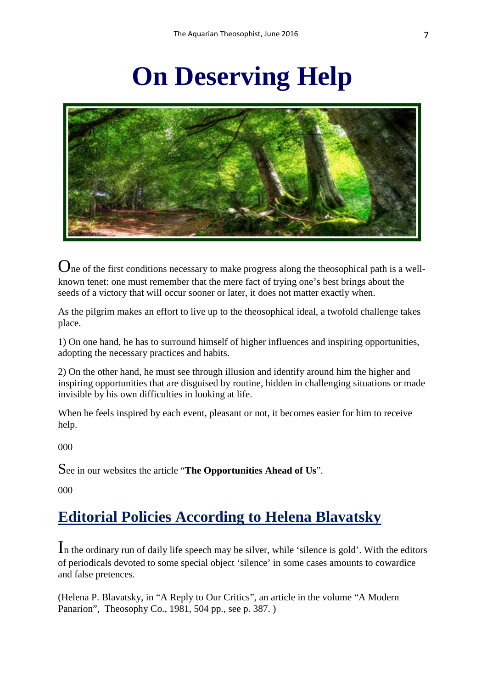# **On Deserving Help**



One of the first conditions necessary to make progress along the theosophical path is a wellknown tenet: one must remember that the mere fact of trying one's best brings about the seeds of a victory that will occur sooner or later, it does not matter exactly when.

As the pilgrim makes an effort to live up to the theosophical ideal, a twofold challenge takes place.

1) On one hand, he has to surround himself of higher influences and inspiring opportunities, adopting the necessary practices and habits.

2) On the other hand, he must see through illusion and identify around him the higher and inspiring opportunities that are disguised by routine, hidden in challenging situations or made invisible by his own difficulties in looking at life.

When he feels inspired by each event, pleasant or not, it becomes easier for him to receive help.

000

See in our websites the article "**The Opportunities Ahead of Us**".

000

### **Editorial Policies According to Helena Blavatsky**

In the ordinary run of daily life speech may be silver, while 'silence is gold'. With the editors of periodicals devoted to some special object 'silence' in some cases amounts to cowardice and false pretences.

(Helena P. Blavatsky, in "A Reply to Our Critics", an article in the volume "A Modern Panarion", Theosophy Co., 1981, 504 pp., see p. 387. )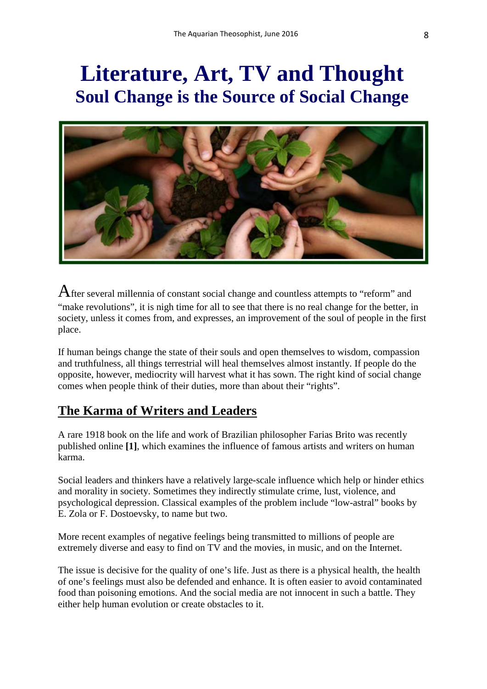### **Literature, Art, TV and Thought Soul Change is the Source of Social Change**



After several millennia of constant social change and countless attempts to "reform" and "make revolutions", it is nigh time for all to see that there is no real change for the better, in society, unless it comes from, and expresses, an improvement of the soul of people in the first place.

If human beings change the state of their souls and open themselves to wisdom, compassion and truthfulness, all things terrestrial will heal themselves almost instantly. If people do the opposite, however, mediocrity will harvest what it has sown. The right kind of social change comes when people think of their duties, more than about their "rights".

#### **The Karma of Writers and Leaders**

A rare 1918 book on the life and work of Brazilian philosopher Farias Brito was recently published online **[1]**, which examines the influence of famous artists and writers on human karma.

Social leaders and thinkers have a relatively large-scale influence which help or hinder ethics and morality in society. Sometimes they indirectly stimulate crime, lust, violence, and psychological depression. Classical examples of the problem include "low-astral" books by E. Zola or F. Dostoevsky, to name but two.

More recent examples of negative feelings being transmitted to millions of people are extremely diverse and easy to find on TV and the movies, in music, and on the Internet.

The issue is decisive for the quality of one's life. Just as there is a physical health, the health of one's feelings must also be defended and enhance. It is often easier to avoid contaminated food than poisoning emotions. And the social media are not innocent in such a battle. They either help human evolution or create obstacles to it.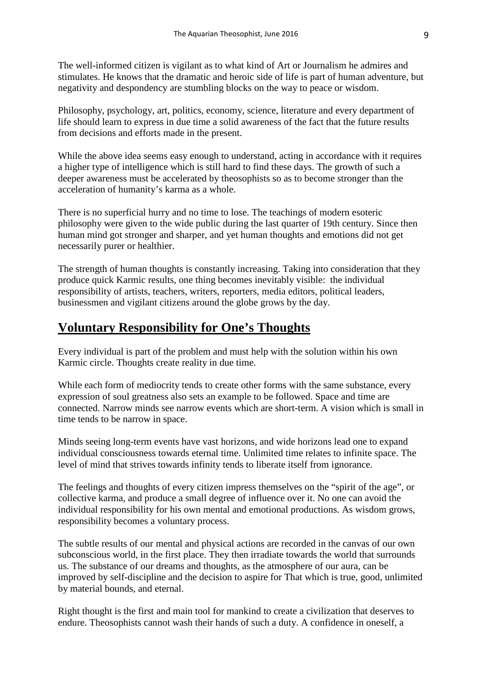The well-informed citizen is vigilant as to what kind of Art or Journalism he admires and stimulates. He knows that the dramatic and heroic side of life is part of human adventure, but negativity and despondency are stumbling blocks on the way to peace or wisdom.

Philosophy, psychology, art, politics, economy, science, literature and every department of life should learn to express in due time a solid awareness of the fact that the future results from decisions and efforts made in the present.

While the above idea seems easy enough to understand, acting in accordance with it requires a higher type of intelligence which is still hard to find these days. The growth of such a deeper awareness must be accelerated by theosophists so as to become stronger than the acceleration of humanity's karma as a whole.

There is no superficial hurry and no time to lose. The teachings of modern esoteric philosophy were given to the wide public during the last quarter of 19th century. Since then human mind got stronger and sharper, and yet human thoughts and emotions did not get necessarily purer or healthier.

The strength of human thoughts is constantly increasing. Taking into consideration that they produce quick Karmic results, one thing becomes inevitably visible: the individual responsibility of artists, teachers, writers, reporters, media editors, political leaders, businessmen and vigilant citizens around the globe grows by the day.

#### **Voluntary Responsibility for One's Thoughts**

Every individual is part of the problem and must help with the solution within his own Karmic circle. Thoughts create reality in due time.

While each form of mediocrity tends to create other forms with the same substance, every expression of soul greatness also sets an example to be followed. Space and time are connected. Narrow minds see narrow events which are short-term. A vision which is small in time tends to be narrow in space.

Minds seeing long-term events have vast horizons, and wide horizons lead one to expand individual consciousness towards eternal time. Unlimited time relates to infinite space. The level of mind that strives towards infinity tends to liberate itself from ignorance.

The feelings and thoughts of every citizen impress themselves on the "spirit of the age", or collective karma, and produce a small degree of influence over it. No one can avoid the individual responsibility for his own mental and emotional productions. As wisdom grows, responsibility becomes a voluntary process.

The subtle results of our mental and physical actions are recorded in the canvas of our own subconscious world, in the first place. They then irradiate towards the world that surrounds us. The substance of our dreams and thoughts, as the atmosphere of our aura, can be improved by self-discipline and the decision to aspire for That which is true, good, unlimited by material bounds, and eternal.

Right thought is the first and main tool for mankind to create a civilization that deserves to endure. Theosophists cannot wash their hands of such a duty. A confidence in oneself, a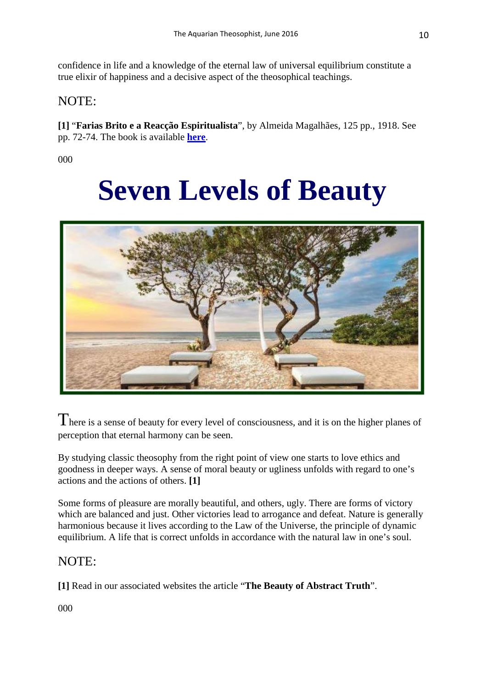confidence in life and a knowledge of the eternal law of universal equilibrium constitute a true elixir of happiness and a decisive aspect of the theosophical teachings.

#### NOTE:

**[1]** "**Farias Brito e a Reacção Espiritualista**", by Almeida Magalhães, 125 pp., 1918. See pp. 72-74. The book is available **[here](http://www.helenablavatsky.net/2016/06/farias-brito-e-reaccao-espiritualista.html)**.

000

# **Seven Levels of Beauty**



There is a sense of beauty for every level of consciousness, and it is on the higher planes of perception that eternal harmony can be seen.

By studying classic theosophy from the right point of view one starts to love ethics and goodness in deeper ways. A sense of moral beauty or ugliness unfolds with regard to one's actions and the actions of others. **[1]**

Some forms of pleasure are morally beautiful, and others, ugly. There are forms of victory which are balanced and just. Other victories lead to arrogance and defeat. Nature is generally harmonious because it lives according to the Law of the Universe, the principle of dynamic equilibrium. A life that is correct unfolds in accordance with the natural law in one's soul.

#### NOTE:

**[1]** Read in our associated websites the article "**The Beauty of Abstract Truth**".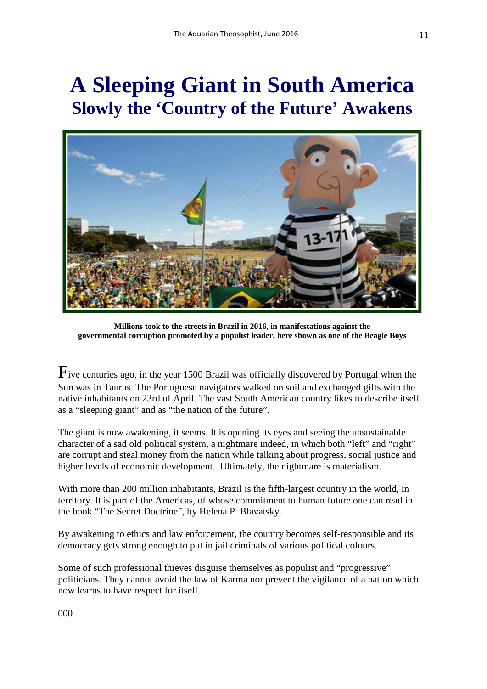### **A Sleeping Giant in South America Slowly the 'Country of the Future' Awakens**



**Millions took to the streets in Brazil in 2016, in manifestations against the governmental corruption promoted by a populist leader, here shown as one of the Beagle Boys**

Five centuries ago, in the year 1500 Brazil was officially discovered by Portugal when the Sun was in Taurus. The Portuguese navigators walked on soil and exchanged gifts with the native inhabitants on 23rd of April. The vast South American country likes to describe itself as a "sleeping giant" and as "the nation of the future".

The giant is now awakening, it seems. It is opening its eyes and seeing the unsustainable character of a sad old political system, a nightmare indeed, in which both "left" and "right" are corrupt and steal money from the nation while talking about progress, social justice and higher levels of economic development. Ultimately, the nightmare is materialism.

With more than 200 million inhabitants, Brazil is the fifth-largest country in the world, in territory. It is part of the Americas, of whose commitment to human future one can read in the book "The Secret Doctrine", by Helena P. Blavatsky.

By awakening to ethics and law enforcement, the country becomes self-responsible and its democracy gets strong enough to put in jail criminals of various political colours.

Some of such professional thieves disguise themselves as populist and "progressive" politicians. They cannot avoid the law of Karma nor prevent the vigilance of a nation which now learns to have respect for itself.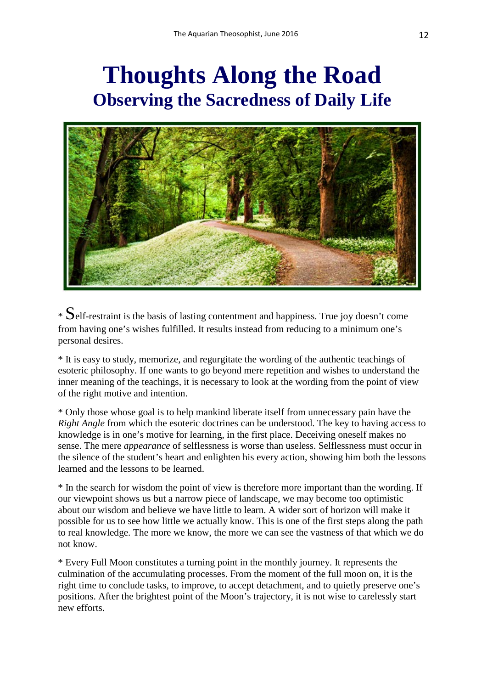### **Thoughts Along the Road Observing the Sacredness of Daily Life**



 $*$  Self-restraint is the basis of lasting contentment and happiness. True joy doesn't come from having one's wishes fulfilled. It results instead from reducing to a minimum one's personal desires.

\* It is easy to study, memorize, and regurgitate the wording of the authentic teachings of esoteric philosophy. If one wants to go beyond mere repetition and wishes to understand the inner meaning of the teachings, it is necessary to look at the wording from the point of view of the right motive and intention.

\* Only those whose goal is to help mankind liberate itself from unnecessary pain have the *Right Angle* from which the esoteric doctrines can be understood. The key to having access to knowledge is in one's motive for learning, in the first place. Deceiving oneself makes no sense. The mere *appearance* of selflessness is worse than useless. Selflessness must occur in the silence of the student's heart and enlighten his every action, showing him both the lessons learned and the lessons to be learned.

\* In the search for wisdom the point of view is therefore more important than the wording. If our viewpoint shows us but a narrow piece of landscape, we may become too optimistic about our wisdom and believe we have little to learn. A wider sort of horizon will make it possible for us to see how little we actually know. This is one of the first steps along the path to real knowledge. The more we know, the more we can see the vastness of that which we do not know.

\* Every Full Moon constitutes a turning point in the monthly journey. It represents the culmination of the accumulating processes. From the moment of the full moon on, it is the right time to conclude tasks, to improve, to accept detachment, and to quietly preserve one's positions. After the brightest point of the Moon's trajectory, it is not wise to carelessly start new efforts.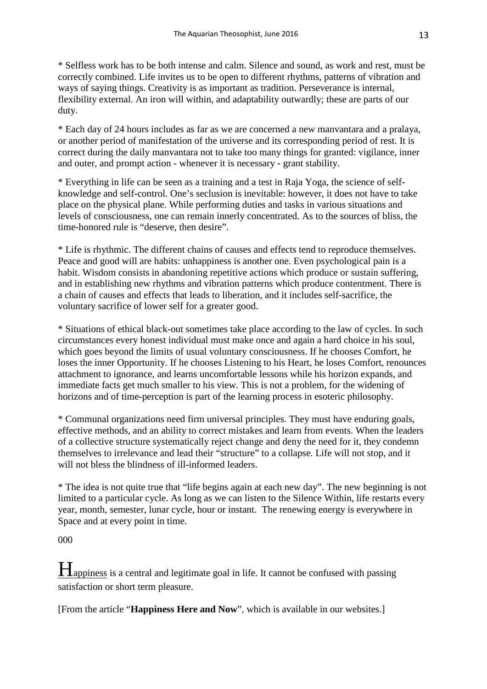\* Selfless work has to be both intense and calm. Silence and sound, as work and rest, must be correctly combined. Life invites us to be open to different rhythms, patterns of vibration and ways of saying things. Creativity is as important as tradition. Perseverance is internal, flexibility external. An iron will within, and adaptability outwardly; these are parts of our duty.

\* Each day of 24 hours includes as far as we are concerned a new manvantara and a pralaya, or another period of manifestation of the universe and its corresponding period of rest. It is correct during the daily manvantara not to take too many things for granted: vigilance, inner and outer, and prompt action - whenever it is necessary - grant stability.

\* Everything in life can be seen as a training and a test in Raja Yoga, the science of selfknowledge and self-control. One's seclusion is inevitable: however, it does not have to take place on the physical plane. While performing duties and tasks in various situations and levels of consciousness, one can remain innerly concentrated. As to the sources of bliss, the time-honored rule is "deserve, then desire".

\* Life is rhythmic. The different chains of causes and effects tend to reproduce themselves. Peace and good will are habits: unhappiness is another one. Even psychological pain is a habit. Wisdom consists in abandoning repetitive actions which produce or sustain suffering, and in establishing new rhythms and vibration patterns which produce contentment. There is a chain of causes and effects that leads to liberation, and it includes self-sacrifice, the voluntary sacrifice of lower self for a greater good.

\* Situations of ethical black-out sometimes take place according to the law of cycles. In such circumstances every honest individual must make once and again a hard choice in his soul, which goes beyond the limits of usual voluntary consciousness. If he chooses Comfort, he loses the inner Opportunity. If he chooses Listening to his Heart, he loses Comfort, renounces attachment to ignorance, and learns uncomfortable lessons while his horizon expands, and immediate facts get much smaller to his view. This is not a problem, for the widening of horizons and of time-perception is part of the learning process in esoteric philosophy.

\* Communal organizations need firm universal principles. They must have enduring goals, effective methods, and an ability to correct mistakes and learn from events. When the leaders of a collective structure systematically reject change and deny the need for it, they condemn themselves to irrelevance and lead their "structure" to a collapse. Life will not stop, and it will not bless the blindness of ill-informed leaders.

\* The idea is not quite true that "life begins again at each new day". The new beginning is not limited to a particular cycle. As long as we can listen to the Silence Within, life restarts every year, month, semester, lunar cycle, hour or instant. The renewing energy is everywhere in Space and at every point in time.

000

Happiness is a central and legitimate goal in life. It cannot be confused with passing satisfaction or short term pleasure.

[From the article "**Happiness Here and Now**", which is available in our websites.]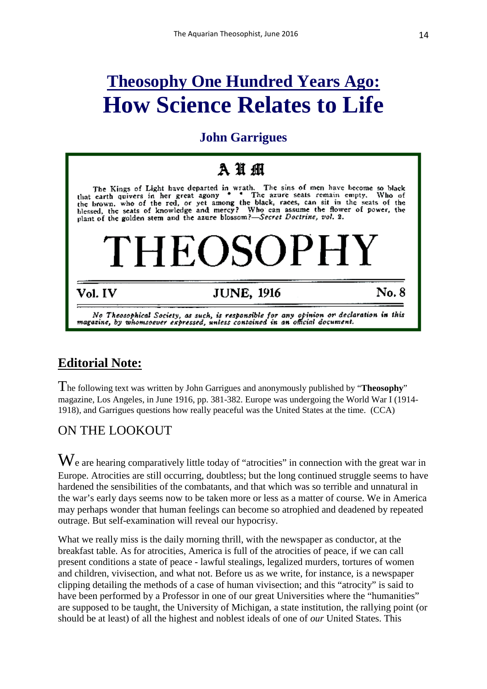### **Theosophy One Hundred Years Ago: How Science Relates to Life**

### **John Garrigues**

### **A** 抽 硼

The Kings of Light have departed in wrath. The sins of men have become so black<br>earth quivers in her great agony \*  $\degree$  The azure seats remain empty. Who of that earth quivers in her great agony The azure seats remain empty, Who of that earth quivers in her great agony  $*$  The azure seats remain empty. Who of the brown, who of the red, or yet among the black, races, can sit in the seats of the blessed, the seats of knowledge and mercy? Who can assum

# **HEOSOPHY**

#### Vol. IV

### **JUNE, 1916**

No. 8

No Theosophical Society, as such, is responsible for any opinion or declaration in this magazine, by whomsoever expressed, unless contained in an official document.

### **Editorial Note:**

The following text was written by John Garrigues and anonymously published by "**Theosophy**" magazine, Los Angeles, in June 1916, pp. 381-382. Europe was undergoing the World War I (1914- 1918), and Garrigues questions how really peaceful was the United States at the time. (CCA)

#### ON THE LOOKOUT

 $\mathbf{W}_{\text{e}}$  are hearing comparatively little today of "atrocities" in connection with the great war in Europe. Atrocities are still occurring, doubtless; but the long continued struggle seems to have hardened the sensibilities of the combatants, and that which was so terrible and unnatural in the war's early days seems now to be taken more or less as a matter of course. We in America may perhaps wonder that human feelings can become so atrophied and deadened by repeated outrage. But self-examination will reveal our hypocrisy.

What we really miss is the daily morning thrill, with the newspaper as conductor, at the breakfast table. As for atrocities, America is full of the atrocities of peace, if we can call present conditions a state of peace - lawful stealings, legalized murders, tortures of women and children, vivisection, and what not. Before us as we write, for instance, is a newspaper clipping detailing the methods of a case of human vivisection; and this "atrocity" is said to have been performed by a Professor in one of our great Universities where the "humanities" are supposed to be taught, the University of Michigan, a state institution, the rallying point (or should be at least) of all the highest and noblest ideals of one of *our* United States. This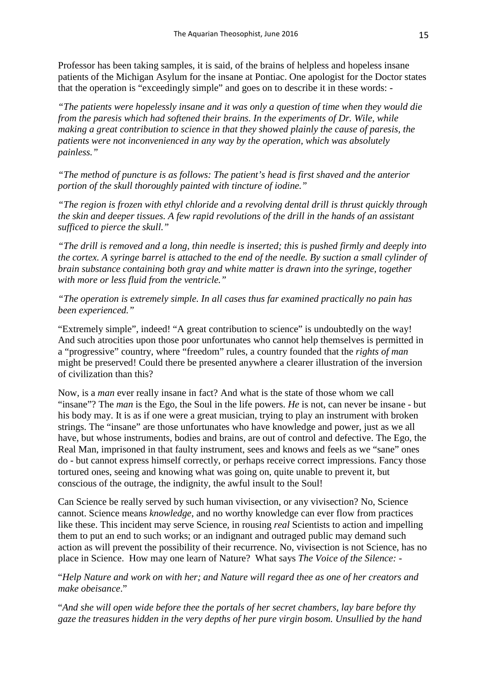Professor has been taking samples, it is said, of the brains of helpless and hopeless insane patients of the Michigan Asylum for the insane at Pontiac. One apologist for the Doctor states that the operation is "exceedingly simple" and goes on to describe it in these words: -

*"The patients were hopelessly insane and it was only a question of time when they would die from the paresis which had softened their brains. In the experiments of Dr. Wile, while making a great contribution to science in that they showed plainly the cause of paresis, the patients were not inconvenienced in any way by the operation, which was absolutely painless."*

*"The method of puncture is as follows: The patient's head is first shaved and the anterior portion of the skull thoroughly painted with tincture of iodine."*

*"The region is frozen with ethyl chloride and a revolving dental drill is thrust quickly through the skin and deeper tissues. A few rapid revolutions of the drill in the hands of an assistant sufficed to pierce the skull."*

*"The drill is removed and a long, thin needle is inserted; this is pushed firmly and deeply into the cortex. A syringe barrel is attached to the end of the needle. By suction a small cylinder of brain substance containing both gray and white matter is drawn into the syringe, together with more or less fluid from the ventricle."*

*"The operation is extremely simple. In all cases thus far examined practically no pain has been experienced."*

"Extremely simple", indeed! "A great contribution to science" is undoubtedly on the way! And such atrocities upon those poor unfortunates who cannot help themselves is permitted in a "progressive" country, where "freedom" rules, a country founded that the *rights of man* might be preserved! Could there be presented anywhere a clearer illustration of the inversion of civilization than this?

Now, is a *man* ever really insane in fact? And what is the state of those whom we call "insane"? The *man* is the Ego, the Soul in the life powers. *He* is not, can never be insane - but his body may. It is as if one were a great musician, trying to play an instrument with broken strings. The "insane" are those unfortunates who have knowledge and power, just as we all have, but whose instruments, bodies and brains, are out of control and defective. The Ego, the Real Man, imprisoned in that faulty instrument, sees and knows and feels as we "sane" ones do - but cannot express himself correctly, or perhaps receive correct impressions. Fancy those tortured ones, seeing and knowing what was going on, quite unable to prevent it, but conscious of the outrage, the indignity, the awful insult to the Soul!

Can Science be really served by such human vivisection, or any vivisection? No, Science cannot. Science means *knowledge*, and no worthy knowledge can ever flow from practices like these. This incident may serve Science, in rousing *real* Scientists to action and impelling them to put an end to such works; or an indignant and outraged public may demand such action as will prevent the possibility of their recurrence. No, vivisection is not Science, has no place in Science. How may one learn of Nature? What says *The Voice of the Silence: -*

"*Help Nature and work on with her; and Nature will regard thee as one of her creators and make obeisance*."

"*And she will open wide before thee the portals of her secret chambers, lay bare before thy gaze the treasures hidden in the very depths of her pure virgin bosom. Unsullied by the hand*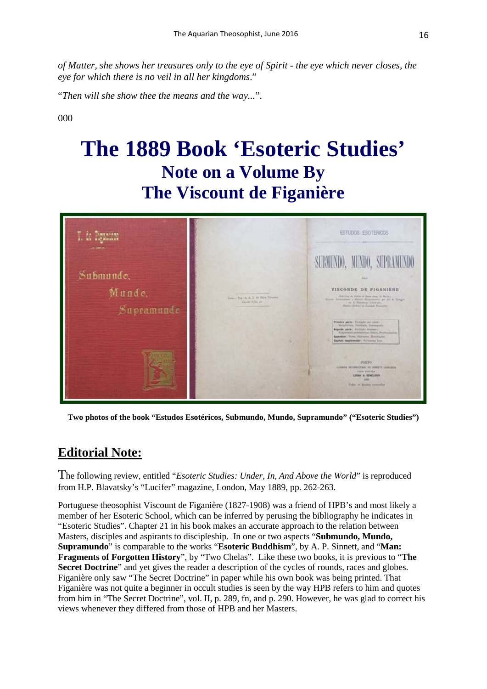*of Matter, she shows her treasures only to the eye of Spirit - the eye which never closes, the eye for which there is no veil in all her kingdoms*."

"*Then will she show thee the means and the way...*".

000

### **The 1889 Book 'Esoteric Studies' Note on a Volume By The Viscount de Figanière**



**Two photos of the book "Estudos Esotéricos, Submundo, Mundo, Supramundo" ("Esoteric Studies")**

#### **Editorial Note:**

The following review, entitled "*Esoteric Studies: Under, In, And Above the World*" is reproduced from H.P. Blavatsky's "Lucifer" magazine, London, May 1889, pp. 262-263.

Portuguese theosophist Viscount de Figanière (1827-1908) was a friend of HPB's and most likely a member of her Esoteric School, which can be inferred by perusing the bibliography he indicates in "Esoteric Studies". Chapter 21 in his book makes an accurate approach to the relation between Masters, disciples and aspirants to discipleship. In one or two aspects "**Submundo, Mundo, Supramundo**" is comparable to the works "**Esoteric Buddhism**", by A. P. Sinnett, and "**Man: Fragments of Forgotten History**", by "Two Chelas". Like these two books, it is previous to "**The Secret Doctrine**" and yet gives the reader a description of the cycles of rounds, races and globes. Figanière only saw "The Secret Doctrine" in paper while his own book was being printed. That Figanière was not quite a beginner in occult studies is seen by the way HPB refers to him and quotes from him in "The Secret Doctrine", vol. II, p. 289, fn, and p. 290. However, he was glad to correct his views whenever they differed from those of HPB and her Masters.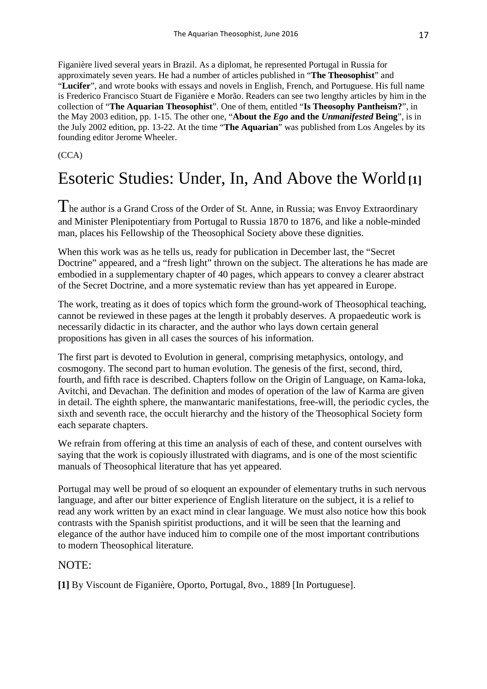Figanière lived several years in Brazil. As a diplomat, he represented Portugal in Russia for approximately seven years. He had a number of articles published in "**The Theosophist**" and "**Lucifer**", and wrote books with essays and novels in English, French, and Portuguese. His full name is Frederico Francisco Stuart de Figanière e Morão. Readers can see two lengthy articles by him in the collection of "**The Aquarian Theosophist**". One of them, entitled "**Is Theosophy Pantheism?**", in the May 2003 edition, pp. 1-15. The other one, "**About the** *Ego* **and the** *Unmanifested* **Being**", is in the July 2002 edition, pp. 13-22. At the time "**The Aquarian**" was published from Los Angeles by its founding editor Jerome Wheeler.

(CCA)

### Esoteric Studies: Under, In, And Above the World **[1]**

The author is a Grand Cross of the Order of St. Anne, in Russia; was Envoy Extraordinary and Minister Plenipotentiary from Portugal to Russia 1870 to 1876, and like a noble-minded man, places his Fellowship of the Theosophical Society above these dignities.

When this work was as he tells us, ready for publication in December last, the "Secret Doctrine" appeared, and a "fresh light" thrown on the subject. The alterations he has made are embodied in a supplementary chapter of 40 pages, which appears to convey a clearer abstract of the Secret Doctrine, and a more systematic review than has yet appeared in Europe.

The work, treating as it does of topics which form the ground-work of Theosophical teaching, cannot be reviewed in these pages at the length it probably deserves. A propaedeutic work is necessarily didactic in its character, and the author who lays down certain general propositions has given in all cases the sources of his information.

The first part is devoted to Evolution in general, comprising metaphysics, ontology, and cosmogony. The second part to human evolution. The genesis of the first, second, third, fourth, and fifth race is described. Chapters follow on the Origin of Language, on Kama-loka, Avitchi, and Devachan. The definition and modes of operation of the law of Karma are given in detail. The eighth sphere, the manwantaric manifestations, free-will, the periodic cycles, the sixth and seventh race, the occult hierarchy and the history of the Theosophical Society form each separate chapters.

We refrain from offering at this time an analysis of each of these, and content ourselves with saying that the work is copiously illustrated with diagrams, and is one of the most scientific manuals of Theosophical literature that has yet appeared.

Portugal may well be proud of so eloquent an expounder of elementary truths in such nervous language, and after our bitter experience of English literature on the subject, it is a relief to read any work written by an exact mind in clear language. We must also notice how this book contrasts with the Spanish spiritist productions, and it will be seen that the learning and elegance of the author have induced him to compile one of the most important contributions to modern Theosophical literature.

#### NOTE:

**[1]** By Viscount de Figanière, Oporto, Portugal, 8vo., 1889 [In Portuguese].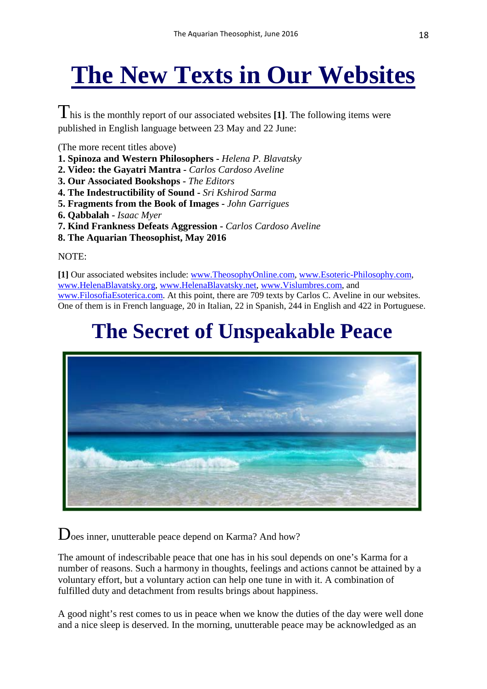# **The New Texts in Our Websites**

This is the monthly report of our associated websites **[1]**. The following items were published in English language between 23 May and 22 June:

(The more recent titles above)

- **1. Spinoza and Western Philosophers -** *Helena P. Blavatsky*
- **2. Video: the Gayatri Mantra -** *Carlos Cardoso Aveline*
- **3. Our Associated Bookshops -** *The Editors*
- **4. The Indestructibility of Sound -** *Sri Kshirod Sarma*
- **5. Fragments from the Book of Images -** *John Garrigues*
- **6. Qabbalah -** *Isaac Myer*
- **7. Kind Frankness Defeats Aggression -** *Carlos Cardoso Aveline*
- **8. The Aquarian Theosophist, May 2016**

#### NOTE:

**[1]** Our associated websites include: [www.TheosophyOnline.com,](http://www.theosophyonline.com/) [www.Esoteric-Philosophy.com,](http://www.esoteric-philosophy.com/) [www.HelenaBlavatsky.org,](http://www.helenablavatsky.org/) [www.HelenaBlavatsky.net,](http://www.helenablavatsky.net/) [www.Vislumbres.com,](http://www.vislumbres.com/) and [www.FilosofiaEsoterica.com.](http://www.filosofiaesoterica.com/) At this point, there are 709 texts by Carlos C. Aveline in our websites. One of them is in French language, 20 in Italian, 22 in Spanish, 244 in English and 422 in Portuguese.

### **The Secret of Unspeakable Peace**



Does inner, unutterable peace depend on Karma? And how?

The amount of indescribable peace that one has in his soul depends on one's Karma for a number of reasons. Such a harmony in thoughts, feelings and actions cannot be attained by a voluntary effort, but a voluntary action can help one tune in with it. A combination of fulfilled duty and detachment from results brings about happiness.

A good night's rest comes to us in peace when we know the duties of the day were well done and a nice sleep is deserved. In the morning, unutterable peace may be acknowledged as an